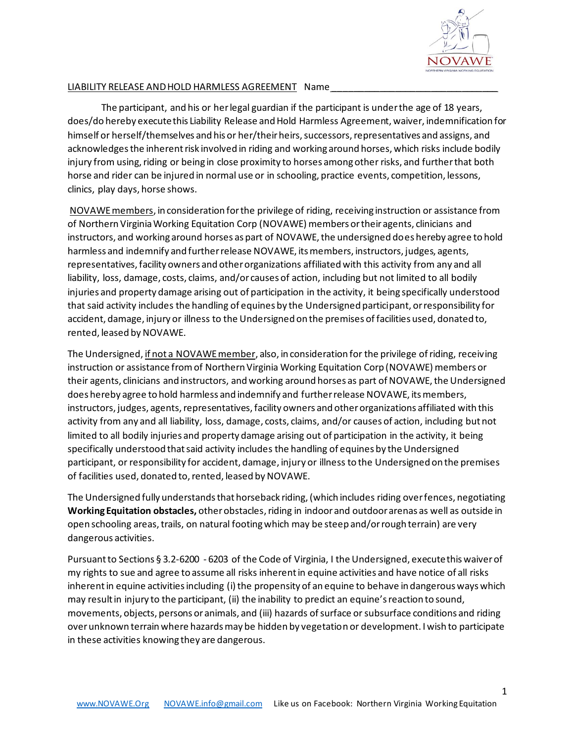

## LIABILITY RELEASE AND HOLD HARMLESS AGREEMENT Name

The participant, and his or her legal guardian if the participant is under the age of 18 years, does/do hereby execute this Liability Release and Hold Harmless Agreement, waiver, indemnification for himself or herself/themselves and his or her/their heirs, successors, representatives and assigns, and acknowledges the inherent risk involved in riding and working around horses, which risks include bodily injury from using, riding or being in close proximity to horses among other risks, and further that both horse and rider can be injured in normal use or in schooling, practice events, competition, lessons, clinics, play days, horse shows.

NOVAWE members, in consideration for the privilege of riding, receiving instruction or assistance from of Northern Virginia Working Equitation Corp (NOVAWE) members or their agents, clinicians and instructors, and working around horses as part of NOVAWE, the undersigned does hereby agree to hold harmless and indemnify and further release NOVAWE, its members, instructors, judges, agents, representatives, facility owners and other organizations affiliated with this activity from any and all liability, loss, damage, costs, claims, and/or causes of action, including but not limited to all bodily injuries and property damage arising out of participation in the activity, it being specifically understood that said activity includes the handling of equines by the Undersigned participant, or responsibility for accident, damage, injury or illness to the Undersigned on the premises of facilities used, donated to, rented, leased by NOVAWE.

The Undersigned, if not a NOVAWE member, also, in consideration for the privilege of riding, receiving instruction or assistance from of Northern Virginia Working Equitation Corp (NOVAWE) members or their agents, clinicians and instructors, and working around horses as part of NOVAWE, the Undersigned does hereby agree to hold harmless and indemnify and further release NOVAWE, its members, instructors, judges, agents, representatives, facility owners and other organizations affiliated with this activity from any and all liability, loss, damage, costs, claims, and/or causes of action, including but not limited to all bodily injuries and property damage arising out of participation in the activity, it being specifically understood that said activity includes the handling of equines by the Undersigned participant, or responsibility for accident, damage, injury or illness to the Undersigned on the premises of facilities used, donated to, rented, leased by NOVAWE.

The Undersigned fully understands that horseback riding, (which includes riding over fences, negotiating **Working Equitation obstacles,** other obstacles, riding in indoor and outdoor arenas as well as outside in open schooling areas, trails, on natural footing which may be steep and/or rough terrain) are very dangerous activities.

Pursuant to Sections § 3.2-6200 - 6203 of the Code of Virginia, I the Undersigned, execute this waiver of my rights to sue and agree to assume all risks inherent in equine activities and have notice of all risks inherent in equine activities including (i) the propensity of an equine to behave in dangerous ways which may result in injury to the participant, (ii) the inability to predict an equine's reaction to sound, movements, objects, persons or animals, and (iii) hazards of surface or subsurface conditions and riding over unknown terrain where hazards may be hidden by vegetation or development. I wish to participate in these activities knowing they are dangerous.